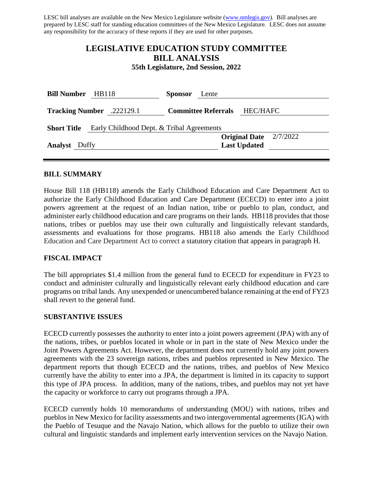LESC bill analyses are available on the New Mexico Legislature website [\(www.nmlegis.gov\)](http://www.nmlegis.gov/). Bill analyses are prepared by LESC staff for standing education committees of the New Mexico Legislature. LESC does not assume any responsibility for the accuracy of these reports if they are used for other purposes.

# **LEGISLATIVE EDUCATION STUDY COMMITTEE BILL ANALYSIS**

**55th Legislature, 2nd Session, 2022**

| <b>Bill Number</b><br><b>HB118</b>                              |                                  | <b>Sponsor</b> | Lente                      |                     |                          |
|-----------------------------------------------------------------|----------------------------------|----------------|----------------------------|---------------------|--------------------------|
|                                                                 | <b>Tracking Number</b> .222129.1 |                | <b>Committee Referrals</b> | HEC/HAFC            |                          |
| Early Childhood Dept. & Tribal Agreements<br><b>Short Title</b> |                                  |                |                            |                     |                          |
|                                                                 |                                  |                |                            |                     | Original Date $2/7/2022$ |
| <b>Analyst</b> Duffy                                            |                                  |                |                            | <b>Last Updated</b> |                          |
|                                                                 |                                  |                |                            |                     |                          |

#### **BILL SUMMARY**

House Bill 118 (HB118) amends the Early Childhood Education and Care Department Act to authorize the Early Childhood Education and Care Department (ECECD) to enter into a joint powers agreement at the request of an Indian nation, tribe or pueblo to plan, conduct, and administer early childhood education and care programs on their lands. HB118 provides that those nations, tribes or pueblos may use their own culturally and linguistically relevant standards, assessments and evaluations for those programs. HB118 also amends the Early Childhood Education and Care Department Act to correct a statutory citation that appears in paragraph H.

#### **FISCAL IMPACT**

The bill appropriates \$1.4 million from the general fund to ECECD for expenditure in FY23 to conduct and administer culturally and linguistically relevant early childhood education and care programs on tribal lands. Any unexpended or unencumbered balance remaining at the end of FY23 shall revert to the general fund.

#### **SUBSTANTIVE ISSUES**

ECECD currently possesses the authority to enter into a joint powers agreement (JPA) with any of the nations, tribes, or pueblos located in whole or in part in the state of New Mexico under the Joint Powers Agreements Act. However, the department does not currently hold any joint powers agreements with the 23 sovereign nations, tribes and pueblos represented in New Mexico. The department reports that though ECECD and the nations, tribes, and pueblos of New Mexico currently have the ability to enter into a JPA, the department is limited in its capacity to support this type of JPA process. In addition, many of the nations, tribes, and pueblos may not yet have the capacity or workforce to carry out programs through a JPA.

ECECD currently holds 10 memorandums of understanding (MOU) with nations, tribes and pueblos in New Mexico for facility assessments and two intergovernmental agreements (IGA) with the Pueblo of Tesuque and the Navajo Nation, which allows for the pueblo to utilize their own cultural and linguistic standards and implement early intervention services on the Navajo Nation.